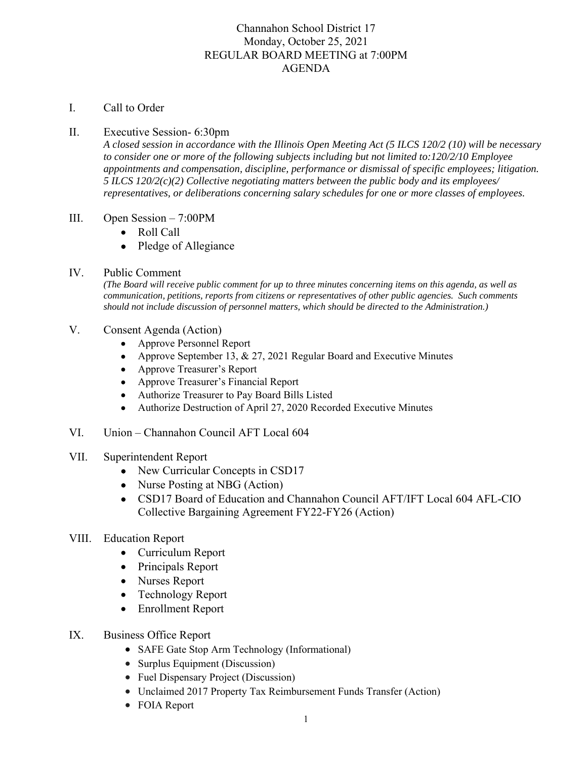# Channahon School District 17 Monday, October 25, 2021 REGULAR BOARD MEETING at 7:00PM AGENDA

# I. Call to Order

# II. Executive Session- 6:30pm

*A closed session in accordance with the Illinois Open Meeting Act (5 ILCS 120/2 (10) will be necessary to consider one or more of the following subjects including but not limited to:120/2/10 Employee appointments and compensation, discipline, performance or dismissal of specific employees; litigation. 5 ILCS 120/2(c)(2) Collective negotiating matters between the public body and its employees/ representatives, or deliberations concerning salary schedules for one or more classes of employees.* 

#### III. Open Session – 7:00PM

- Roll Call
- Pledge of Allegiance

# IV. Public Comment

*(The Board will receive public comment for up to three minutes concerning items on this agenda, as well as communication, petitions, reports from citizens or representatives of other public agencies. Such comments should not include discussion of personnel matters, which should be directed to the Administration.)* 

# V. Consent Agenda (Action)

- Approve Personnel Report
- Approve September 13, & 27, 2021 Regular Board and Executive Minutes
- Approve Treasurer's Report
- Approve Treasurer's Financial Report
- Authorize Treasurer to Pay Board Bills Listed
- Authorize Destruction of April 27, 2020 Recorded Executive Minutes
- VI. Union Channahon Council AFT Local 604
- VII. Superintendent Report
	- New Curricular Concepts in CSD17
	- Nurse Posting at NBG (Action)
	- CSD17 Board of Education and Channahon Council AFT/IFT Local 604 AFL-CIO Collective Bargaining Agreement FY22-FY26 (Action)
- VIII. Education Report
	- Curriculum Report
	- Principals Report
	- Nurses Report
	- Technology Report
	- Enrollment Report
- IX. Business Office Report
	- SAFE Gate Stop Arm Technology (Informational)
	- Surplus Equipment (Discussion)
	- Fuel Dispensary Project (Discussion)
	- Unclaimed 2017 Property Tax Reimbursement Funds Transfer (Action)
	- FOIA Report